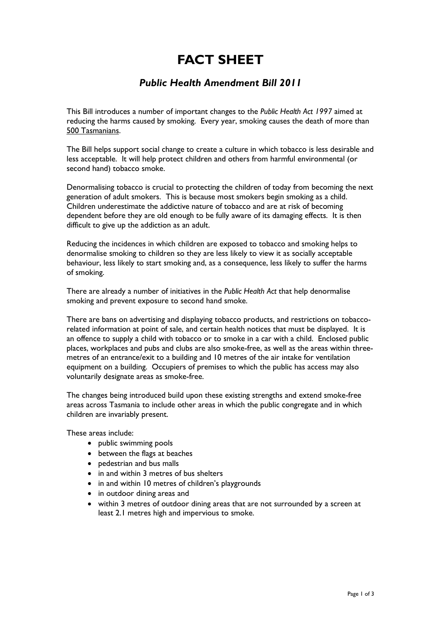## **FACT SHEET**

## *Public Health Amendment Bill 2011*

This Bill introduces a number of important changes to the *Public Health Act 1997* aimed at reducing the harms caused by smoking. Every year, smoking causes the death of more than 500 Tasmanians.

The Bill helps support social change to create a culture in which tobacco is less desirable and less acceptable. It will help protect children and others from harmful environmental (or second hand) tobacco smoke.

Denormalising tobacco is crucial to protecting the children of today from becoming the next generation of adult smokers. This is because most smokers begin smoking as a child. Children underestimate the addictive nature of tobacco and are at risk of becoming dependent before they are old enough to be fully aware of its damaging effects. It is then difficult to give up the addiction as an adult.

Reducing the incidences in which children are exposed to tobacco and smoking helps to denormalise smoking to children so they are less likely to view it as socially acceptable behaviour, less likely to start smoking and, as a consequence, less likely to suffer the harms of smoking.

There are already a number of initiatives in the *Public Health Act* that help denormalise smoking and prevent exposure to second hand smoke.

There are bans on advertising and displaying tobacco products, and restrictions on tobaccorelated information at point of sale, and certain health notices that must be displayed. It is an offence to supply a child with tobacco or to smoke in a car with a child. Enclosed public places, workplaces and pubs and clubs are also smoke-free, as well as the areas within threemetres of an entrance/exit to a building and 10 metres of the air intake for ventilation equipment on a building. Occupiers of premises to which the public has access may also voluntarily designate areas as smoke-free.

The changes being introduced build upon these existing strengths and extend smoke-free areas across Tasmania to include other areas in which the public congregate and in which children are invariably present.

These areas include:

- public swimming pools
- between the flags at beaches
- pedestrian and bus malls
- in and within 3 metres of bus shelters
- in and within 10 metres of children's playgrounds
- in outdoor dining areas and
- within 3 metres of outdoor dining areas that are not surrounded by a screen at least 2.1 metres high and impervious to smoke.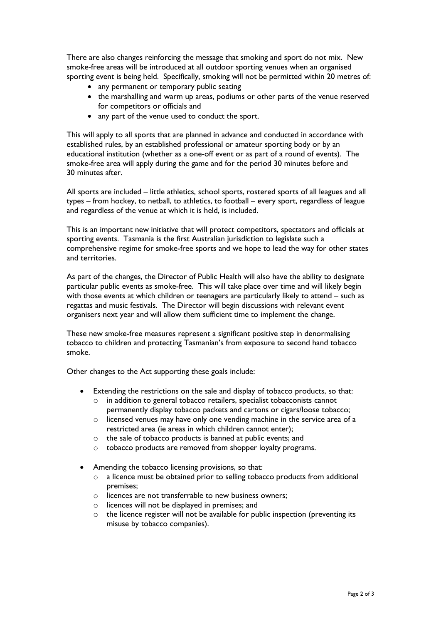There are also changes reinforcing the message that smoking and sport do not mix. New smoke-free areas will be introduced at all outdoor sporting venues when an organised sporting event is being held. Specifically, smoking will not be permitted within 20 metres of:

- any permanent or temporary public seating
- the marshalling and warm up areas, podiums or other parts of the venue reserved for competitors or officials and
- any part of the venue used to conduct the sport.

This will apply to all sports that are planned in advance and conducted in accordance with established rules, by an established professional or amateur sporting body or by an educational institution (whether as a one-off event or as part of a round of events). The smoke-free area will apply during the game and for the period 30 minutes before and 30 minutes after.

All sports are included – little athletics, school sports, rostered sports of all leagues and all types – from hockey, to netball, to athletics, to football – every sport, regardless of league and regardless of the venue at which it is held, is included.

This is an important new initiative that will protect competitors, spectators and officials at sporting events. Tasmania is the first Australian jurisdiction to legislate such a comprehensive regime for smoke-free sports and we hope to lead the way for other states and territories.

As part of the changes, the Director of Public Health will also have the ability to designate particular public events as smoke-free. This will take place over time and will likely begin with those events at which children or teenagers are particularly likely to attend – such as regattas and music festivals. The Director will begin discussions with relevant event organisers next year and will allow them sufficient time to implement the change.

These new smoke-free measures represent a significant positive step in denormalising tobacco to children and protecting Tasmanian's from exposure to second hand tobacco smoke.

Other changes to the Act supporting these goals include:

- Extending the restrictions on the sale and display of tobacco products, so that:
	- o in addition to general tobacco retailers, specialist tobacconists cannot permanently display tobacco packets and cartons or cigars/loose tobacco;
	- o licensed venues may have only one vending machine in the service area of a restricted area (ie areas in which children cannot enter);
	- o the sale of tobacco products is banned at public events; and
	- o tobacco products are removed from shopper loyalty programs.
- Amending the tobacco licensing provisions, so that:
	- o a licence must be obtained prior to selling tobacco products from additional premises;
	- o licences are not transferrable to new business owners;
	- o licences will not be displayed in premises; and
	- o the licence register will not be available for public inspection (preventing its misuse by tobacco companies).